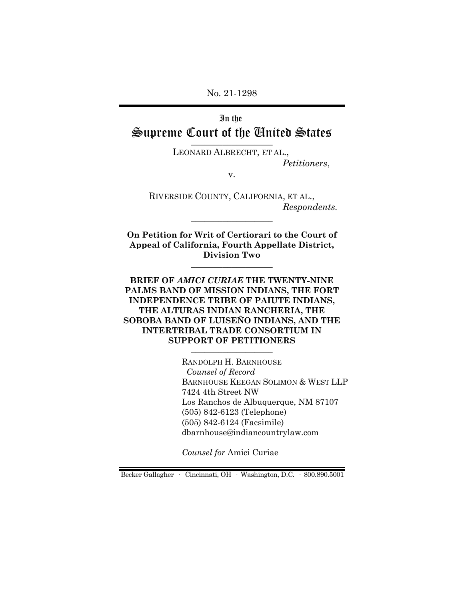No. 21-1298

In the Supreme Court of the United States

> LEONARD ALBRECHT, ET AL., *Petitioners*,

> > v.

RIVERSIDE COUNTY, CALIFORNIA, ET AL., *Respondents.*

**On Petition for Writ of Certiorari to the Court of Appeal of California, Fourth Appellate District, Division Two**  $\_$ 

 $\_$ 

**BRIEF OF** *AMICI CURIAE* **THE TWENTY-NINE PALMS BAND OF MISSION INDIANS, THE FORT INDEPENDENCE TRIBE OF PAIUTE INDIANS, THE ALTURAS INDIAN RANCHERIA, THE SOBOBA BAND OF LUISEÑO INDIANS, AND THE INTERTRIBAL TRADE CONSORTIUM IN SUPPORT OF PETITIONERS**  $\_$ 

> RANDOLPH H. BARNHOUSE *Counsel of Record*  BARNHOUSE KEEGAN SOLIMON & WEST LLP 7424 4th Street NW Los Ranchos de Albuquerque, NM 87107 (505) 842-6123 (Telephone) (505) 842-6124 (Facsimile) dbarnhouse@indiancountrylaw.com

*Counsel for* Amici Curiae

Becker Gallagher · Cincinnati, OH · Washington, D.C. · 800.890.5001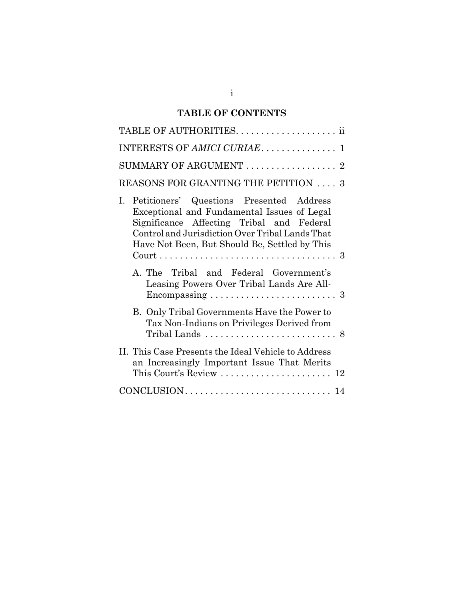# **TABLE OF CONTENTS**

| INTERESTS OF AMICI CURIAE 1                                                                                                                                                                                                                   |
|-----------------------------------------------------------------------------------------------------------------------------------------------------------------------------------------------------------------------------------------------|
| SUMMARY OF ARGUMENT $\ldots \ldots \ldots \ldots \ldots \ldots$                                                                                                                                                                               |
| REASONS FOR GRANTING THE PETITION  3                                                                                                                                                                                                          |
| Petitioners' Questions Presented Address<br>L<br>Exceptional and Fundamental Issues of Legal<br>Significance Affecting Tribal and Federal<br>Control and Jurisdiction Over Tribal Lands That<br>Have Not Been, But Should Be, Settled by This |
| A. The Tribal and Federal Government's<br>Leasing Powers Over Tribal Lands Are All-                                                                                                                                                           |
| B. Only Tribal Governments Have the Power to<br>Tax Non-Indians on Privileges Derived from                                                                                                                                                    |
| II. This Case Presents the Ideal Vehicle to Address<br>an Increasingly Important Issue That Merits                                                                                                                                            |
|                                                                                                                                                                                                                                               |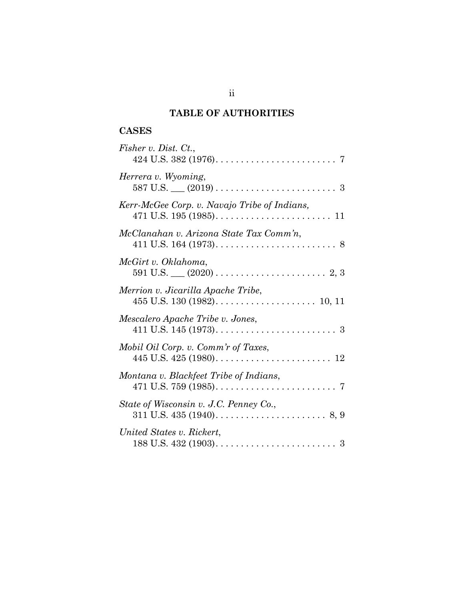## **TABLE OF AUTHORITIES**

## **CASES**

| Fisher v. Dist. Ct.,                         |
|----------------------------------------------|
| Herrera v. Wyoming,                          |
| Kerr-McGee Corp. v. Navajo Tribe of Indians, |
| McClanahan v. Arizona State Tax Comm'n,      |
| McGirt v. Oklahoma,                          |
| Merrion v. Jicarilla Apache Tribe,           |
| Mescalero Apache Tribe v. Jones,             |
| Mobil Oil Corp. v. Comm'r of Taxes,          |
| Montana v. Blackfeet Tribe of Indians,       |
| State of Wisconsin v. J.C. Penney Co.,       |
| United States v. Rickert,                    |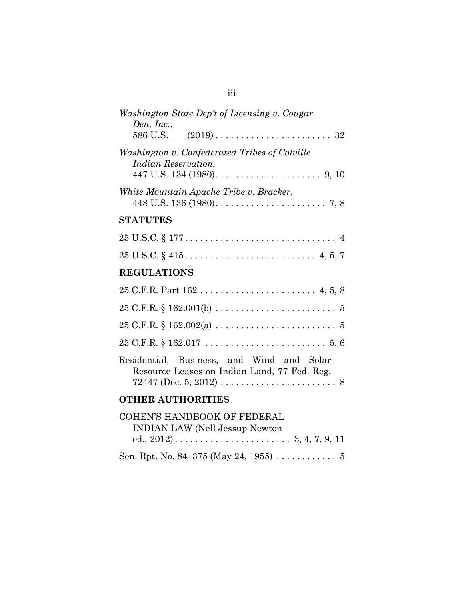| Washington State Dep't of Licensing v. Cougar<br>Den, Inc.,                                                                    |
|--------------------------------------------------------------------------------------------------------------------------------|
| Washington v. Confederated Tribes of Colville<br><i>Indian Reservation,</i><br>447 U.S. 134 (1980). $\ldots$ . 9, 10           |
| White Mountain Apache Tribe v. Bracker,<br>448 U.S. 136 (1980). $\ldots \ldots \ldots \ldots \ldots \ldots \ldots \ldots$ 7, 8 |
| <b>STATUTES</b>                                                                                                                |
|                                                                                                                                |
| $25 \text{ U.S.C.} \S 415 \ldots \ldots \ldots \ldots \ldots \ldots \ldots \ldots \quad 4, 5, 7$                               |
| <b>REGULATIONS</b>                                                                                                             |
|                                                                                                                                |
|                                                                                                                                |
|                                                                                                                                |
|                                                                                                                                |
| Residential, Business, and Wind and Solar<br>Resource Leases on Indian Land, 77 Fed. Reg.                                      |
| <b>OTHER AUTHORITIES</b>                                                                                                       |
| <b>COHEN'S HANDBOOK OF FEDERAL</b><br><b>INDIAN LAW (Nell Jessup Newton)</b>                                                   |

Sen. Rpt. No. 84–375 (May 24, 1955)  $\ldots \ldots \ldots 5$ 

| u. | u | u |  |
|----|---|---|--|
|    |   |   |  |
|    |   |   |  |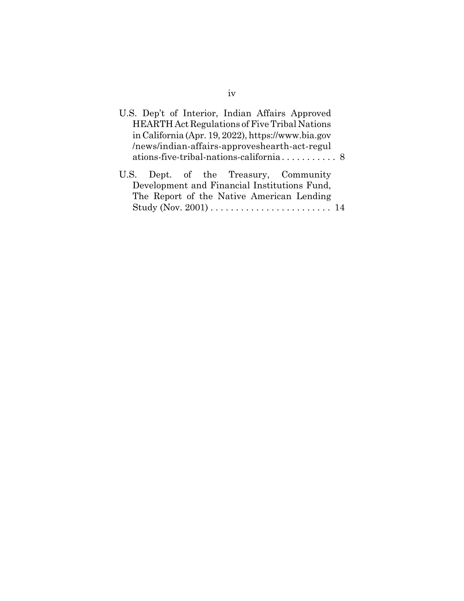| U.S. Dep't of Interior, Indian Affairs Approved    |  |
|----------------------------------------------------|--|
| HEARTH Act Regulations of Five Tribal Nations      |  |
| in California (Apr. 19, 2022), https://www.bia.gov |  |
| /news/indian-affairs-approveshearth-act-regul      |  |
|                                                    |  |
| U.S. Dept. of the Treasury, Community              |  |
| Development and Financial Institutions Fund,       |  |
| The Report of the Native American Lending          |  |
|                                                    |  |
|                                                    |  |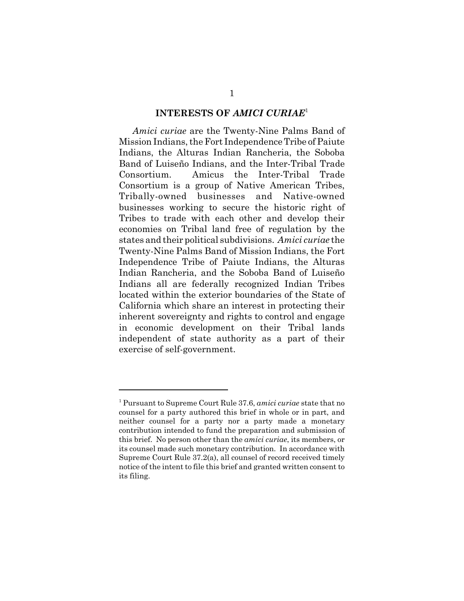#### **INTERESTS OF** *AMICI CURIAE*<sup>1</sup>

*Amici curiae* are the Twenty-Nine Palms Band of Mission Indians, the Fort Independence Tribe of Paiute Indians, the Alturas Indian Rancheria, the Soboba Band of Luiseño Indians, and the Inter-Tribal Trade Consortium. Amicus the Inter-Tribal Trade Consortium is a group of Native American Tribes, Tribally-owned businesses and Native-owned businesses working to secure the historic right of Tribes to trade with each other and develop their economies on Tribal land free of regulation by the states and their political subdivisions. *Amici curiae* the Twenty-Nine Palms Band of Mission Indians, the Fort Independence Tribe of Paiute Indians, the Alturas Indian Rancheria, and the Soboba Band of Luiseño Indians all are federally recognized Indian Tribes located within the exterior boundaries of the State of California which share an interest in protecting their inherent sovereignty and rights to control and engage in economic development on their Tribal lands independent of state authority as a part of their exercise of self-government.

<sup>1</sup> Pursuant to Supreme Court Rule 37.6, *amici curiae* state that no counsel for a party authored this brief in whole or in part, and neither counsel for a party nor a party made a monetary contribution intended to fund the preparation and submission of this brief. No person other than the *amici curiae*, its members, or its counsel made such monetary contribution. In accordance with Supreme Court Rule 37.2(a), all counsel of record received timely notice of the intent to file this brief and granted written consent to its filing.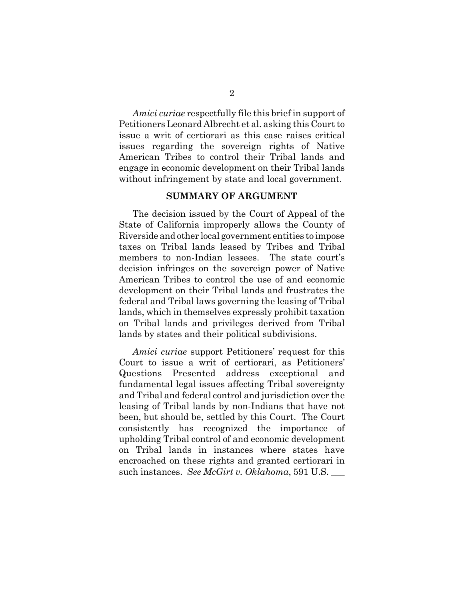*Amici curiae* respectfully file this brief in support of Petitioners Leonard Albrecht et al. asking this Court to issue a writ of certiorari as this case raises critical issues regarding the sovereign rights of Native American Tribes to control their Tribal lands and engage in economic development on their Tribal lands without infringement by state and local government.

### **SUMMARY OF ARGUMENT**

The decision issued by the Court of Appeal of the State of California improperly allows the County of Riverside and other local government entities to impose taxes on Tribal lands leased by Tribes and Tribal members to non-Indian lessees. The state court's decision infringes on the sovereign power of Native American Tribes to control the use of and economic development on their Tribal lands and frustrates the federal and Tribal laws governing the leasing of Tribal lands, which in themselves expressly prohibit taxation on Tribal lands and privileges derived from Tribal lands by states and their political subdivisions.

*Amici curiae* support Petitioners' request for this Court to issue a writ of certiorari, as Petitioners' Questions Presented address exceptional and fundamental legal issues affecting Tribal sovereignty and Tribal and federal control and jurisdiction over the leasing of Tribal lands by non-Indians that have not been, but should be, settled by this Court. The Court consistently has recognized the importance of upholding Tribal control of and economic development on Tribal lands in instances where states have encroached on these rights and granted certiorari in such instances. *See McGirt v. Oklahoma*, 591 U.S. \_\_\_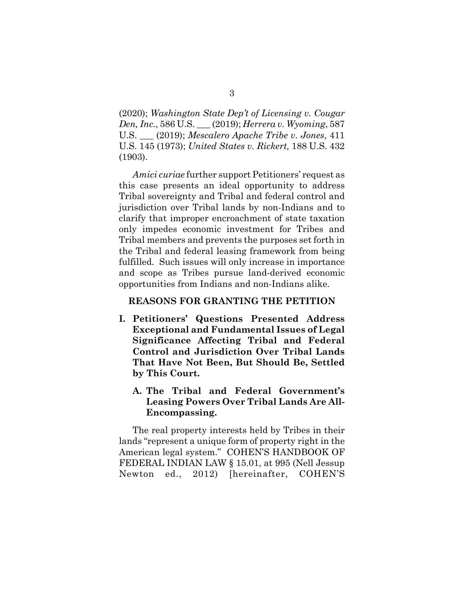(2020); *Washington State Dep't of Licensing v. Cougar Den, Inc.*, 586 U.S. \_\_\_ (2019); *Herrera v. Wyoming*, 587 U.S. \_\_\_ (2019); *Mescalero Apache Tribe v. Jones*, 411 U.S. 145 (1973); *United States v. Rickert,* 188 U.S. 432 (1903).

*Amici curiae* further support Petitioners' request as this case presents an ideal opportunity to address Tribal sovereignty and Tribal and federal control and jurisdiction over Tribal lands by non-Indians and to clarify that improper encroachment of state taxation only impedes economic investment for Tribes and Tribal members and prevents the purposes set forth in the Tribal and federal leasing framework from being fulfilled. Such issues will only increase in importance and scope as Tribes pursue land-derived economic opportunities from Indians and non-Indians alike.

### **REASONS FOR GRANTING THE PETITION**

- **I. Petitioners' Questions Presented Address Exceptional and Fundamental Issues of Legal Significance Affecting Tribal and Federal Control and Jurisdiction Over Tribal Lands That Have Not Been, But Should Be, Settled by This Court.** 
	- **A. The Tribal and Federal Government's Leasing Powers Over Tribal Lands Are All-Encompassing.**

The real property interests held by Tribes in their lands "represent a unique form of property right in the American legal system." COHEN'S HANDBOOK OF FEDERAL INDIAN LAW § 15.01, at 995 (Nell Jessup Newton ed., 2012) [hereinafter, COHEN'S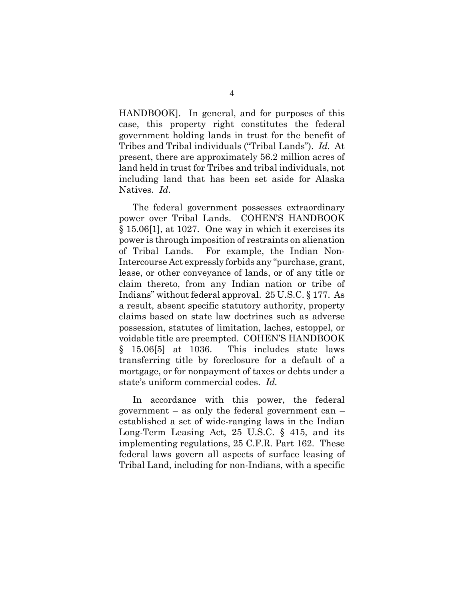HANDBOOK]. In general, and for purposes of this case, this property right constitutes the federal government holding lands in trust for the benefit of Tribes and Tribal individuals ("Tribal Lands"). *Id.* At present, there are approximately 56.2 million acres of land held in trust for Tribes and tribal individuals, not including land that has been set aside for Alaska Natives. *Id.* 

The federal government possesses extraordinary power over Tribal Lands. COHEN'S HANDBOOK § 15.06[1], at 1027. One way in which it exercises its power is through imposition of restraints on alienation of Tribal Lands. For example, the Indian Non-Intercourse Act expressly forbids any "purchase, grant, lease, or other conveyance of lands, or of any title or claim thereto, from any Indian nation or tribe of Indians" without federal approval. 25 U.S.C. § 177. As a result, absent specific statutory authority, property claims based on state law doctrines such as adverse possession, statutes of limitation, laches, estoppel, or voidable title are preempted. COHEN'S HANDBOOK § 15.06[5] at 1036. This includes state laws transferring title by foreclosure for a default of a mortgage, or for nonpayment of taxes or debts under a state's uniform commercial codes. *Id.* 

In accordance with this power, the federal government – as only the federal government can – established a set of wide-ranging laws in the Indian Long-Term Leasing Act, 25 U.S.C. § 415, and its implementing regulations, 25 C.F.R. Part 162. These federal laws govern all aspects of surface leasing of Tribal Land, including for non-Indians, with a specific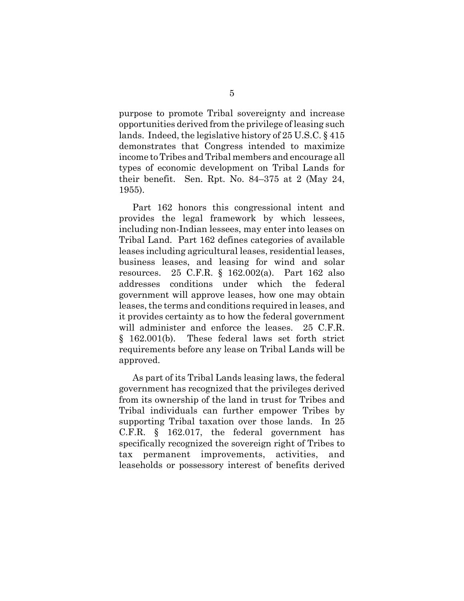purpose to promote Tribal sovereignty and increase opportunities derived from the privilege of leasing such lands. Indeed, the legislative history of 25 U.S.C. § 415 demonstrates that Congress intended to maximize income to Tribes and Tribal members and encourage all types of economic development on Tribal Lands for their benefit. Sen. Rpt. No. 84–375 at 2 (May 24, 1955).

Part 162 honors this congressional intent and provides the legal framework by which lessees, including non-Indian lessees, may enter into leases on Tribal Land. Part 162 defines categories of available leases including agricultural leases, residential leases, business leases, and leasing for wind and solar resources. 25 C.F.R. § 162.002(a). Part 162 also addresses conditions under which the federal government will approve leases, how one may obtain leases, the terms and conditions required in leases, and it provides certainty as to how the federal government will administer and enforce the leases. 25 C.F.R. § 162.001(b). These federal laws set forth strict requirements before any lease on Tribal Lands will be approved.

As part of its Tribal Lands leasing laws, the federal government has recognized that the privileges derived from its ownership of the land in trust for Tribes and Tribal individuals can further empower Tribes by supporting Tribal taxation over those lands. In 25 C.F.R. § 162.017, the federal government has specifically recognized the sovereign right of Tribes to tax permanent improvements, activities, and leaseholds or possessory interest of benefits derived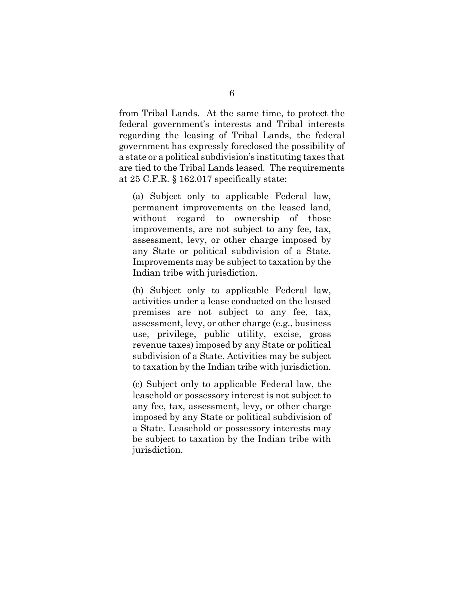from Tribal Lands. At the same time, to protect the federal government's interests and Tribal interests regarding the leasing of Tribal Lands, the federal government has expressly foreclosed the possibility of a state or a political subdivision's instituting taxes that are tied to the Tribal Lands leased. The requirements at 25 C.F.R. § 162.017 specifically state:

(a) Subject only to applicable Federal law, permanent improvements on the leased land, without regard to ownership of those improvements, are not subject to any fee, tax, assessment, levy, or other charge imposed by any State or political subdivision of a State. Improvements may be subject to taxation by the Indian tribe with jurisdiction.

(b) Subject only to applicable Federal law, activities under a lease conducted on the leased premises are not subject to any fee, tax, assessment, levy, or other charge (e.g., business use, privilege, public utility, excise, gross revenue taxes) imposed by any State or political subdivision of a State. Activities may be subject to taxation by the Indian tribe with jurisdiction.

(c) Subject only to applicable Federal law, the leasehold or possessory interest is not subject to any fee, tax, assessment, levy, or other charge imposed by any State or political subdivision of a State. Leasehold or possessory interests may be subject to taxation by the Indian tribe with jurisdiction.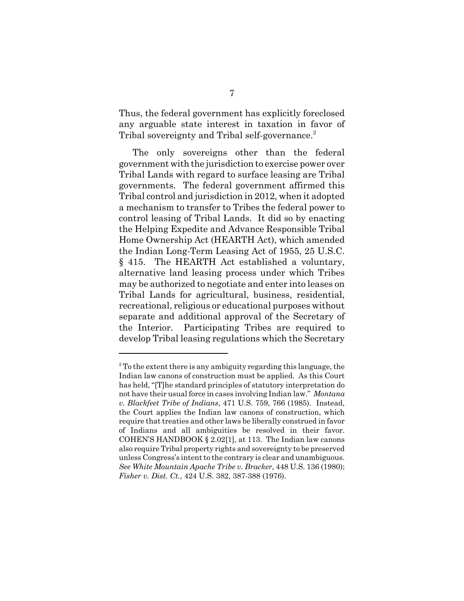Thus, the federal government has explicitly foreclosed any arguable state interest in taxation in favor of Tribal sovereignty and Tribal self-governance.<sup>2</sup>

The only sovereigns other than the federal government with the jurisdiction to exercise power over Tribal Lands with regard to surface leasing are Tribal governments. The federal government affirmed this Tribal control and jurisdiction in 2012, when it adopted a mechanism to transfer to Tribes the federal power to control leasing of Tribal Lands. It did so by enacting the Helping Expedite and Advance Responsible Tribal Home Ownership Act (HEARTH Act), which amended the Indian Long-Term Leasing Act of 1955, 25 U.S.C. § 415. The HEARTH Act established a voluntary, alternative land leasing process under which Tribes may be authorized to negotiate and enter into leases on Tribal Lands for agricultural, business, residential, recreational, religious or educational purposes without separate and additional approval of the Secretary of the Interior. Participating Tribes are required to develop Tribal leasing regulations which the Secretary

 $2^2$  To the extent there is any ambiguity regarding this language, the Indian law canons of construction must be applied. As this Court has held, "[T]he standard principles of statutory interpretation do not have their usual force in cases involving Indian law." *Montana v. Blackfeet Tribe of Indians*, 471 U.S. 759, 766 (1985). Instead, the Court applies the Indian law canons of construction, which require that treaties and other laws be liberally construed in favor of Indians and all ambiguities be resolved in their favor. COHEN'S HANDBOOK § 2.02[1], at 113. The Indian law canons also require Tribal property rights and sovereignty to be preserved unless Congress's intent to the contrary is clear and unambiguous. *See White Mountain Apache Tribe v. Bracker*, 448 U.S. 136 (1980); *Fisher v. Dist. Ct.*, 424 U.S. 382, 387-388 (1976).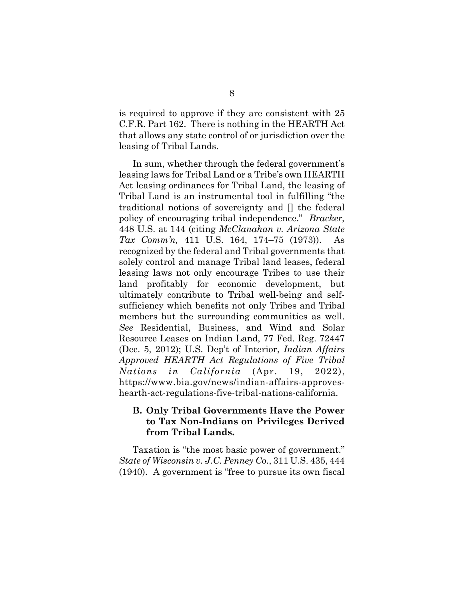is required to approve if they are consistent with 25 C.F.R. Part 162. There is nothing in the HEARTH Act that allows any state control of or jurisdiction over the leasing of Tribal Lands.

In sum, whether through the federal government's leasing laws for Tribal Land or a Tribe's own HEARTH Act leasing ordinances for Tribal Land, the leasing of Tribal Land is an instrumental tool in fulfilling "the traditional notions of sovereignty and [] the federal policy of encouraging tribal independence." *Bracker,* 448 U.S. at 144 (citing *McClanahan v. Arizona State Tax Comm'n,* 411 U.S. 164, 174–75 (1973)). As recognized by the federal and Tribal governments that solely control and manage Tribal land leases, federal leasing laws not only encourage Tribes to use their land profitably for economic development, but ultimately contribute to Tribal well-being and selfsufficiency which benefits not only Tribes and Tribal members but the surrounding communities as well. *See* Residential, Business, and Wind and Solar Resource Leases on Indian Land, 77 Fed. Reg. 72447 (Dec. 5, 2012); U.S. Dep't of Interior, *Indian Affairs Approved HEARTH Act Regulations of Five Tribal Nations in California* (Apr. 19, 2022), https://www.bia.gov/news/indian-affairs-approveshearth-act-regulations-five-tribal-nations-california.

### **B. Only Tribal Governments Have the Power to Tax Non-Indians on Privileges Derived from Tribal Lands.**

Taxation is "the most basic power of government." *State of Wisconsin v. J.C. Penney Co.*, 311 U.S. 435, 444 (1940). A government is "free to pursue its own fiscal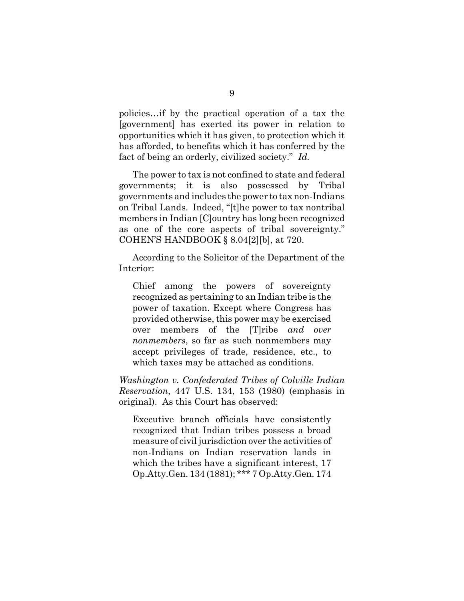policies…if by the practical operation of a tax the [government] has exerted its power in relation to opportunities which it has given, to protection which it has afforded, to benefits which it has conferred by the fact of being an orderly, civilized society." *Id.* 

The power to tax is not confined to state and federal governments; it is also possessed by Tribal governments and includes the power to tax non-Indians on Tribal Lands. Indeed, "[t]he power to tax nontribal members in Indian [C]ountry has long been recognized as one of the core aspects of tribal sovereignty." COHEN'S HANDBOOK § 8.04[2][b], at 720.

According to the Solicitor of the Department of the Interior:

Chief among the powers of sovereignty recognized as pertaining to an Indian tribe is the power of taxation. Except where Congress has provided otherwise, this power may be exercised over members of the [T]ribe *and over nonmembers*, so far as such nonmembers may accept privileges of trade, residence, etc., to which taxes may be attached as conditions.

*Washington v. Confederated Tribes of Colville Indian Reservation*, 447 U.S. 134, 153 (1980) (emphasis in original). As this Court has observed:

Executive branch officials have consistently recognized that Indian tribes possess a broad measure of civil jurisdiction over the activities of non-Indians on Indian reservation lands in which the tribes have a significant interest, 17 Op.Atty.Gen. 134 (1881); \*\*\* 7 Op.Atty.Gen. 174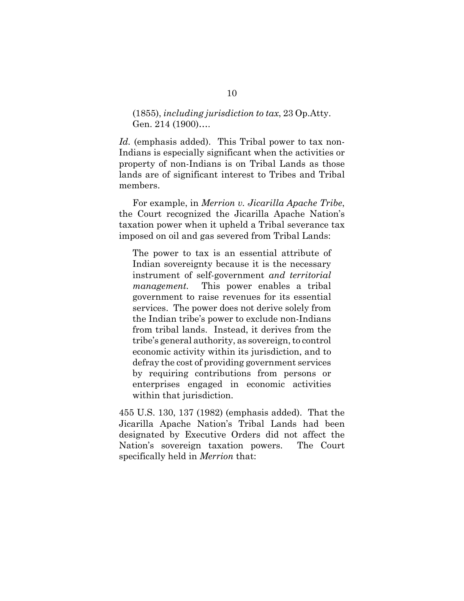### (1855), *including jurisdiction to tax*, 23 Op.Atty. Gen. 214 (1900)….

*Id.* (emphasis added).This Tribal power to tax non-Indians is especially significant when the activities or property of non-Indians is on Tribal Lands as those lands are of significant interest to Tribes and Tribal members.

For example, in *Merrion v. Jicarilla Apache Tribe*, the Court recognized the Jicarilla Apache Nation's taxation power when it upheld a Tribal severance tax imposed on oil and gas severed from Tribal Lands:

The power to tax is an essential attribute of Indian sovereignty because it is the necessary instrument of self-government *and territorial management.* This power enables a tribal government to raise revenues for its essential services. The power does not derive solely from the Indian tribe's power to exclude non-Indians from tribal lands. Instead, it derives from the tribe's general authority, as sovereign, to control economic activity within its jurisdiction, and to defray the cost of providing government services by requiring contributions from persons or enterprises engaged in economic activities within that jurisdiction.

455 U.S. 130, 137 (1982) (emphasis added). That the Jicarilla Apache Nation's Tribal Lands had been designated by Executive Orders did not affect the Nation's sovereign taxation powers. The Court specifically held in *Merrion* that: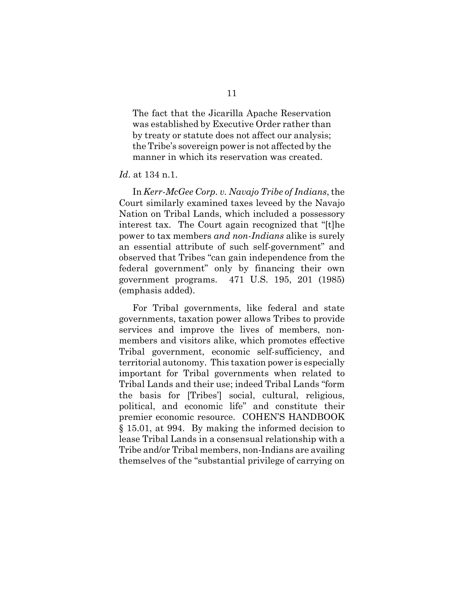The fact that the Jicarilla Apache Reservation was established by Executive Order rather than by treaty or statute does not affect our analysis; the Tribe's sovereign power is not affected by the manner in which its reservation was created.

#### *Id*. at 134 n.1.

In *Kerr-McGee Corp. v. Navajo Tribe of Indians*, the Court similarly examined taxes leveed by the Navajo Nation on Tribal Lands, which included a possessory interest tax. The Court again recognized that "[t]he power to tax members *and non-Indians* alike is surely an essential attribute of such self-government" and observed that Tribes "can gain independence from the federal government" only by financing their own government programs. 471 U.S. 195, 201 (1985) (emphasis added).

For Tribal governments, like federal and state governments, taxation power allows Tribes to provide services and improve the lives of members, nonmembers and visitors alike, which promotes effective Tribal government, economic self-sufficiency, and territorial autonomy. This taxation power is especially important for Tribal governments when related to Tribal Lands and their use; indeed Tribal Lands "form the basis for [Tribes'] social, cultural, religious, political, and economic life" and constitute their premier economic resource. COHEN'S HANDBOOK § 15.01, at 994. By making the informed decision to lease Tribal Lands in a consensual relationship with a Tribe and/or Tribal members, non-Indians are availing themselves of the "substantial privilege of carrying on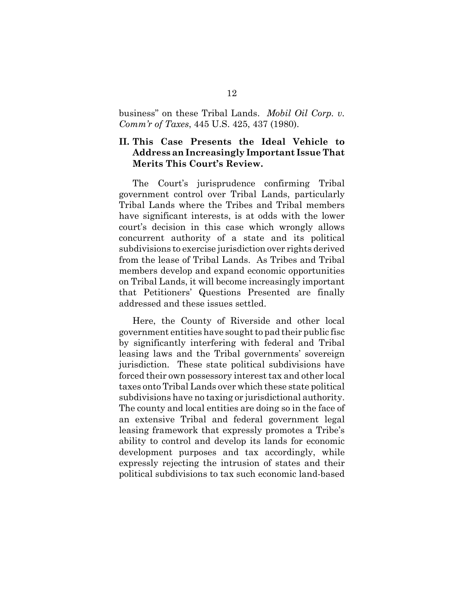business" on these Tribal Lands. *Mobil Oil Corp. v. Comm'r of Taxes*, 445 U.S. 425, 437 (1980).

### **II. This Case Presents the Ideal Vehicle to Address an Increasingly Important Issue That Merits This Court's Review.**

The Court's jurisprudence confirming Tribal government control over Tribal Lands, particularly Tribal Lands where the Tribes and Tribal members have significant interests, is at odds with the lower court's decision in this case which wrongly allows concurrent authority of a state and its political subdivisions to exercise jurisdiction over rights derived from the lease of Tribal Lands. As Tribes and Tribal members develop and expand economic opportunities on Tribal Lands, it will become increasingly important that Petitioners' Questions Presented are finally addressed and these issues settled.

Here, the County of Riverside and other local government entities have sought to pad their public fisc by significantly interfering with federal and Tribal leasing laws and the Tribal governments' sovereign jurisdiction. These state political subdivisions have forced their own possessory interest tax and other local taxes onto Tribal Lands over which these state political subdivisions have no taxing or jurisdictional authority. The county and local entities are doing so in the face of an extensive Tribal and federal government legal leasing framework that expressly promotes a Tribe's ability to control and develop its lands for economic development purposes and tax accordingly, while expressly rejecting the intrusion of states and their political subdivisions to tax such economic land-based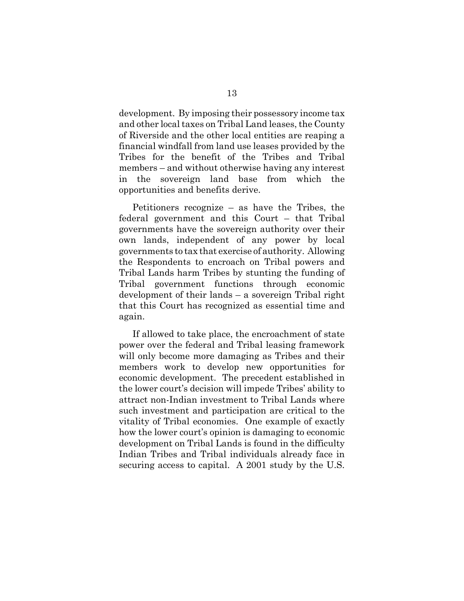development. By imposing their possessory income tax and other local taxes on Tribal Land leases, the County of Riverside and the other local entities are reaping a financial windfall from land use leases provided by the Tribes for the benefit of the Tribes and Tribal members – and without otherwise having any interest in the sovereign land base from which the opportunities and benefits derive.

Petitioners recognize – as have the Tribes, the federal government and this Court – that Tribal governments have the sovereign authority over their own lands, independent of any power by local governments to tax that exercise of authority. Allowing the Respondents to encroach on Tribal powers and Tribal Lands harm Tribes by stunting the funding of Tribal government functions through economic development of their lands – a sovereign Tribal right that this Court has recognized as essential time and again.

If allowed to take place, the encroachment of state power over the federal and Tribal leasing framework will only become more damaging as Tribes and their members work to develop new opportunities for economic development. The precedent established in the lower court's decision will impede Tribes' ability to attract non-Indian investment to Tribal Lands where such investment and participation are critical to the vitality of Tribal economies. One example of exactly how the lower court's opinion is damaging to economic development on Tribal Lands is found in the difficulty Indian Tribes and Tribal individuals already face in securing access to capital. A 2001 study by the U.S.